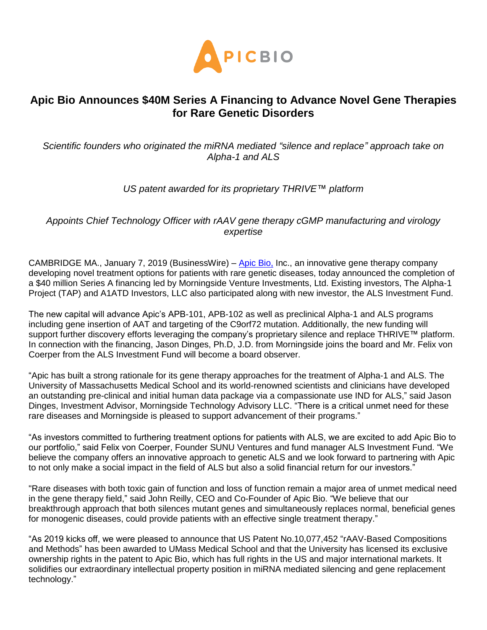

# **Apic Bio Announces \$40M Series A Financing to Advance Novel Gene Therapies for Rare Genetic Disorders**

*Scientific founders who originated the miRNA mediated "silence and replace" approach take on Alpha-1 and ALS*

*US patent awarded for its proprietary THRIVE™ platform*

*Appoints Chief Technology Officer with rAAV gene therapy cGMP manufacturing and virology expertise* 

CAMBRIDGE MA., January 7, 2019 (BusinessWire) – [Apic](https://www.apic-bio.com/) Bio, Inc., an innovative gene therapy company developing novel treatment options for patients with rare genetic diseases, today announced the completion of a \$40 million Series A financing led by Morningside Venture Investments, Ltd. Existing investors, The Alpha-1 Project (TAP) and A1ATD Investors, LLC also participated along with new investor, the ALS Investment Fund.

The new capital will advance Apic's APB-101, APB-102 as well as preclinical Alpha-1 and ALS programs including gene insertion of AAT and targeting of the C9orf72 mutation. Additionally, the new funding will support further discovery efforts leveraging the company's proprietary silence and replace THRIVE™ platform. In connection with the financing, Jason Dinges, Ph.D, J.D. from Morningside joins the board and Mr. Felix von Coerper from the ALS Investment Fund will become a board observer.

"Apic has built a strong rationale for its gene therapy approaches for the treatment of Alpha-1 and ALS. The University of Massachusetts Medical School and its world-renowned scientists and clinicians have developed an outstanding pre-clinical and initial human data package via a compassionate use IND for ALS," said Jason Dinges, Investment Advisor, Morningside Technology Advisory LL[C.](https://www.apic-bio.com/jason-dinges/) "There is a critical unmet need for these rare diseases and Morningside is pleased to support advancement of their programs."

"As investors committed to furthering treatment options for patients with ALS, we are excited to add Apic Bio to our portfolio," said Felix von Coerper, Founder SUNU Ventures and fund manager ALS Investment Fund. "We believe the company offers an innovative approach to genetic ALS and we look forward to partnering with Apic to not only make a social impact in the field of ALS but also a solid financial return for our investors."

"Rare diseases with both toxic gain of function and loss of function remain a major area of unmet medical need in the gene therapy field," said John Reilly, CEO and Co-Founder of Apic Bio. "We believe that our breakthrough approach that both silences mutant genes and simultaneously replaces normal, beneficial genes for monogenic diseases, could provide patients with an effective single treatment therapy."

"As 2019 kicks off, we were pleased to announce that US Patent No.10,077,452 "rAAV-Based Compositions and Methods" has been awarded to UMass Medical School and that the University has licensed its exclusive ownership rights in the patent to Apic Bio, which has full rights in the US and major international markets. It solidifies our extraordinary intellectual property position in miRNA mediated silencing and gene replacement technology."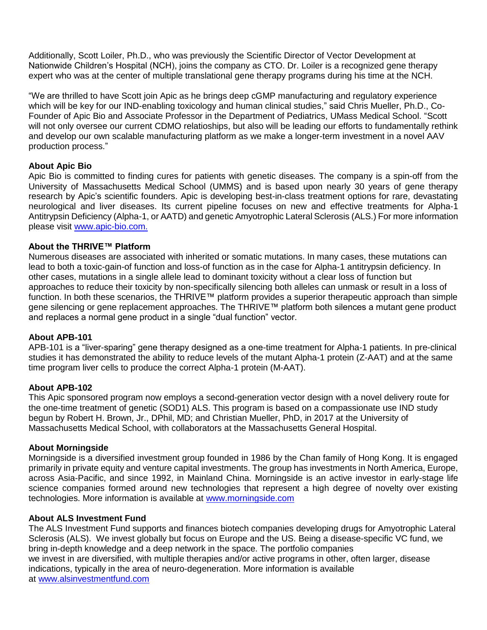Additionally, Scott Loiler, Ph.D., who was previously the Scientific Director of Vector Development at Nationwide Children's Hospital (NCH), joins the company as CTO. Dr. Loiler is a recognized gene therapy expert who was at the center of multiple translational gene therapy programs during his time at the NCH.

"We are thrilled to have Scott join Apic as he brings deep cGMP manufacturing and regulatory experience which will be key for our IND-enabling toxicology and human clinical studies," said Chris Mueller, Ph.D., Co-Founder of Apic Bio and Associate Professor in the Department of Pediatrics, UMass Medical School. "Scott will not only oversee our current CDMO relatioships, but also will be leading our efforts to fundamentally rethink and develop our own scalable manufacturing platform as we make a longer-term investment in a novel AAV production process."

### **About Apic Bio**

Apic Bio is committed to finding cures for patients with genetic diseases. The company is a spin-off from the University of Massachusetts Medical School (UMMS) and is based upon nearly 30 years of gene therapy research by Apic's scientific founders. Apic is developing best-in-class treatment options for rare, devastating neurological and liver diseases. Its current pipeline focuses on new and effective treatments for Alpha-1 Antitrypsin Deficiency (Alpha-1, or AATD) and genetic Amyotrophic Lateral Sclerosis (ALS.) For more information please visit [www.apic-bio.com.](http://www.apic-bio.com/)

## **About the THRIVE™ Platform**

Numerous diseases are associated with inherited or somatic mutations. In many cases, these mutations can lead to both a toxic-gain-of function and loss-of function as in the case for Alpha-1 antitrypsin deficiency. In other cases, mutations in a single allele lead to dominant toxicity without a clear loss of function but approaches to reduce their toxicity by non-specifically silencing both alleles can unmask or result in a loss of function. In both these scenarios, the THRIVE™ platform provides a superior therapeutic approach than simple gene silencing or gene replacement approaches. The THRIVE™ platform both silences a mutant gene product and replaces a normal gene product in a single "dual function" vector.

### **About APB-101**

APB-101 is a "liver-sparing" gene therapy designed as a one-time treatment for Alpha-1 patients. In pre-clinical studies it has demonstrated the ability to reduce levels of the mutant Alpha-1 protein (Z-AAT) and at the same time program liver cells to produce the correct Alpha-1 protein (M-AAT).

### **About APB-102**

This Apic sponsored program now employs a second-generation vector design with a novel delivery route for the one-time treatment of genetic (SOD1) ALS. This program is based on a compassionate use IND study begun by Robert H. Brown, Jr., DPhil, MD; and Christian Mueller, PhD, in 2017 at the University of Massachusetts Medical School, with collaborators at the Massachusetts General Hospital.

### **About Morningside**

Morningside is a diversified investment group founded in 1986 by the Chan family of Hong Kong. It is engaged primarily in private equity and venture capital investments. The group has investments in North America, Europe, across Asia-Pacific, and since 1992, in Mainland China. Morningside is an active investor in early-stage life science companies formed around new technologies that represent a high degree of novelty over existing technologies. More information is available at [www.morningside.com](http://www.morningside.com/)

### **About ALS Investment Fund**

The ALS Investment Fund supports and finances biotech companies developing drugs for Amyotrophic Lateral Sclerosis (ALS). We invest globally but focus on Europe and the US. Being a disease-specific VC fund, we bring in-depth knowledge and a deep network in the space. The portfolio companies we invest in are diversified, with multiple therapies and/or active programs in other, often larger, disease indications, typically in the area of neuro-degeneration. More information is available at [www.alsinvestmentfund.com](http://www.alsinvestmentfund.com/)